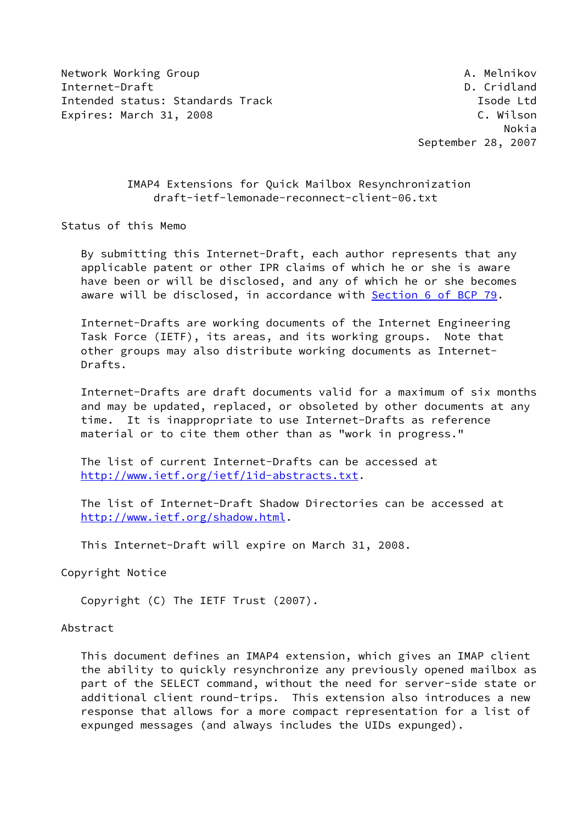Network Working Group **A. Melnikov** A. Melnikov Internet-Draft **D. Cridland** D. Cridland Intended status: Standards Track Isom and Isode Ltd Expires: March 31, 2008 C. Wilson

 Nokia September 28, 2007

## IMAP4 Extensions for Quick Mailbox Resynchronization draft-ietf-lemonade-reconnect-client-06.txt

Status of this Memo

 By submitting this Internet-Draft, each author represents that any applicable patent or other IPR claims of which he or she is aware have been or will be disclosed, and any of which he or she becomes aware will be disclosed, in accordance with Section [6 of BCP 79.](https://datatracker.ietf.org/doc/pdf/bcp79#section-6)

 Internet-Drafts are working documents of the Internet Engineering Task Force (IETF), its areas, and its working groups. Note that other groups may also distribute working documents as Internet- Drafts.

 Internet-Drafts are draft documents valid for a maximum of six months and may be updated, replaced, or obsoleted by other documents at any time. It is inappropriate to use Internet-Drafts as reference material or to cite them other than as "work in progress."

 The list of current Internet-Drafts can be accessed at <http://www.ietf.org/ietf/1id-abstracts.txt>.

 The list of Internet-Draft Shadow Directories can be accessed at <http://www.ietf.org/shadow.html>.

This Internet-Draft will expire on March 31, 2008.

Copyright Notice

Copyright (C) The IETF Trust (2007).

### Abstract

 This document defines an IMAP4 extension, which gives an IMAP client the ability to quickly resynchronize any previously opened mailbox as part of the SELECT command, without the need for server-side state or additional client round-trips. This extension also introduces a new response that allows for a more compact representation for a list of expunged messages (and always includes the UIDs expunged).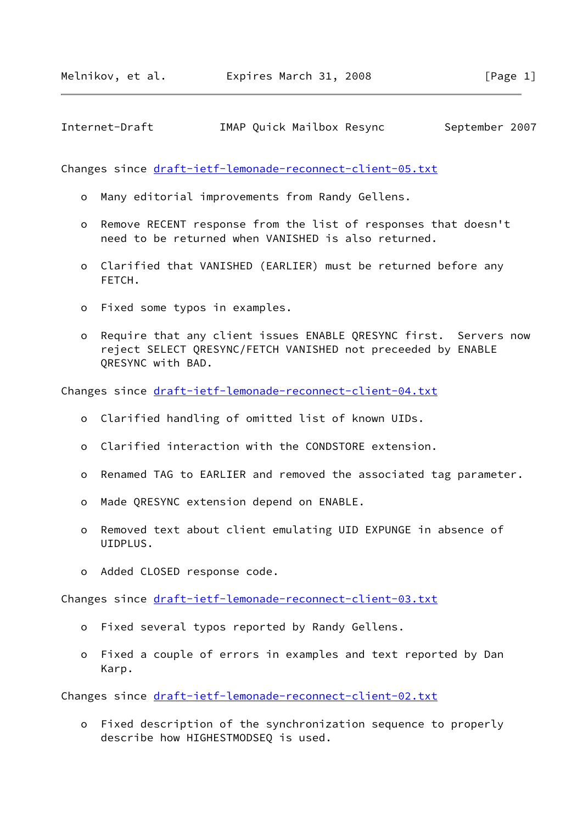Internet-Draft IMAP Quick Mailbox Resync September 2007

Changes since [draft-ietf-lemonade-reconnect-client-05.txt](https://datatracker.ietf.org/doc/pdf/draft-ietf-lemonade-reconnect-client-05.txt)

- o Many editorial improvements from Randy Gellens.
- o Remove RECENT response from the list of responses that doesn't need to be returned when VANISHED is also returned.
- o Clarified that VANISHED (EARLIER) must be returned before any FETCH.
- o Fixed some typos in examples.
- o Require that any client issues ENABLE QRESYNC first. Servers now reject SELECT QRESYNC/FETCH VANISHED not preceeded by ENABLE QRESYNC with BAD.

Changes since [draft-ietf-lemonade-reconnect-client-04.txt](https://datatracker.ietf.org/doc/pdf/draft-ietf-lemonade-reconnect-client-04.txt)

- o Clarified handling of omitted list of known UIDs.
- o Clarified interaction with the CONDSTORE extension.
- o Renamed TAG to EARLIER and removed the associated tag parameter.
- o Made QRESYNC extension depend on ENABLE.
- o Removed text about client emulating UID EXPUNGE in absence of UIDPLUS.
- o Added CLOSED response code.

Changes since [draft-ietf-lemonade-reconnect-client-03.txt](https://datatracker.ietf.org/doc/pdf/draft-ietf-lemonade-reconnect-client-03.txt)

- o Fixed several typos reported by Randy Gellens.
- o Fixed a couple of errors in examples and text reported by Dan Karp.

Changes since [draft-ietf-lemonade-reconnect-client-02.txt](https://datatracker.ietf.org/doc/pdf/draft-ietf-lemonade-reconnect-client-02.txt)

 o Fixed description of the synchronization sequence to properly describe how HIGHESTMODSEQ is used.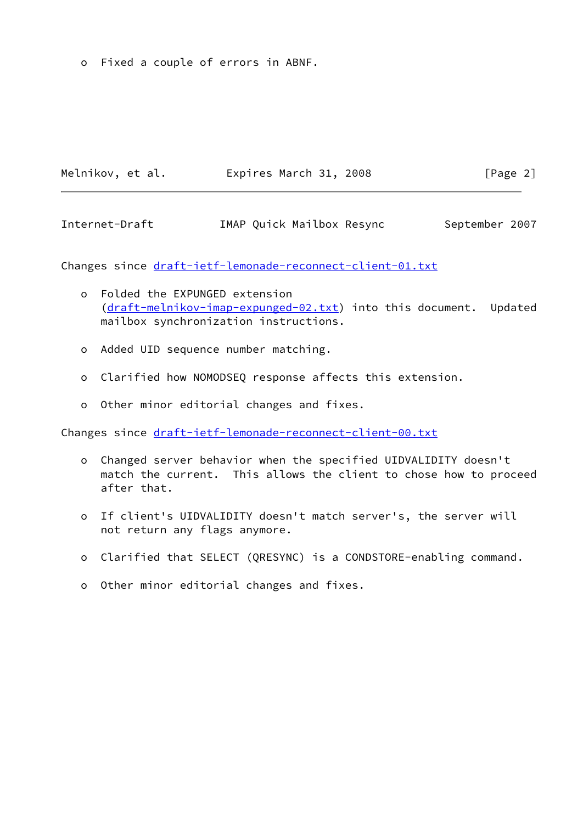o Fixed a couple of errors in ABNF.

| Melnikov, et al. | Expires March 31, 2008 | [Page 2] |  |
|------------------|------------------------|----------|--|
|                  |                        |          |  |

Internet-Draft **IMAP Quick Mailbox Resync** September 2007

Changes since [draft-ietf-lemonade-reconnect-client-01.txt](https://datatracker.ietf.org/doc/pdf/draft-ietf-lemonade-reconnect-client-01.txt)

- o Folded the EXPUNGED extension ([draft-melnikov-imap-expunged-02.txt\)](https://datatracker.ietf.org/doc/pdf/draft-melnikov-imap-expunged-02.txt) into this document. Updated mailbox synchronization instructions.
- o Added UID sequence number matching.
- o Clarified how NOMODSEQ response affects this extension.
- o Other minor editorial changes and fixes.

Changes since [draft-ietf-lemonade-reconnect-client-00.txt](https://datatracker.ietf.org/doc/pdf/draft-ietf-lemonade-reconnect-client-00.txt)

- o Changed server behavior when the specified UIDVALIDITY doesn't match the current. This allows the client to chose how to proceed after that.
- o If client's UIDVALIDITY doesn't match server's, the server will not return any flags anymore.
- o Clarified that SELECT (QRESYNC) is a CONDSTORE-enabling command.
- o Other minor editorial changes and fixes.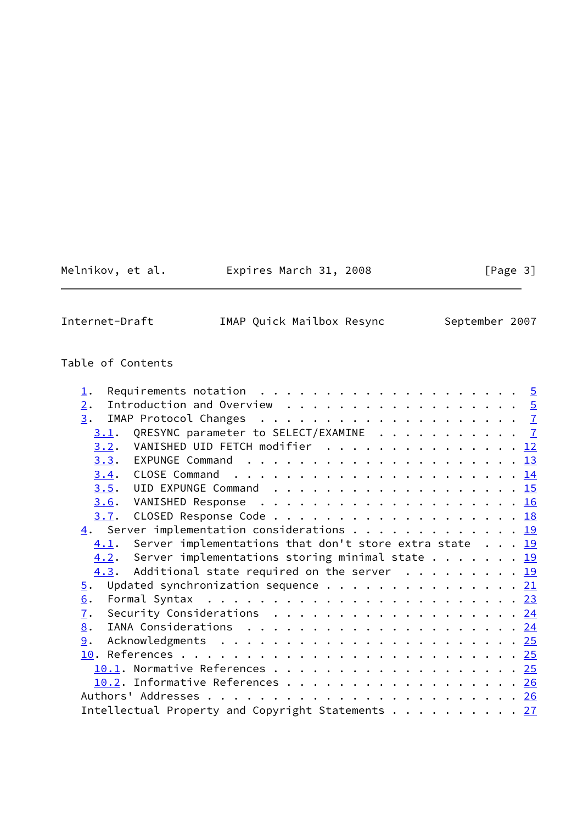Melnikov, et al. Expires March 31, 2008 [Page 3]

Internet-Draft IMAP Quick Mailbox Resync September 2007

# Table of Contents

| Introduction and Overview $\ldots \ldots \ldots \ldots \ldots \ldots \frac{5}{2}$<br>2.<br>3.<br>QRESYNC parameter to SELECT/EXAMINE 7<br>3.1.<br>3.2. VANISHED UID FETCH modifier 12 |  |
|---------------------------------------------------------------------------------------------------------------------------------------------------------------------------------------|--|
|                                                                                                                                                                                       |  |
|                                                                                                                                                                                       |  |
|                                                                                                                                                                                       |  |
|                                                                                                                                                                                       |  |
|                                                                                                                                                                                       |  |
| 3.4.                                                                                                                                                                                  |  |
| 3.5.                                                                                                                                                                                  |  |
| 3.6.                                                                                                                                                                                  |  |
| 3.7. CLOSED Response Code 18                                                                                                                                                          |  |
| $\underline{4}$ . Server implementation considerations 19                                                                                                                             |  |
| Server implementations that don't store extra state $\ldots$ 19<br>4.1.                                                                                                               |  |
| 4.2. Server implementations storing minimal state 19                                                                                                                                  |  |
| 4.3. Additional state required on the server 19                                                                                                                                       |  |
| Updated synchronization sequence 21<br>$\overline{5}$ .                                                                                                                               |  |
| Formal Syntax $\ldots \ldots \ldots \ldots \ldots \ldots \ldots \ldots \ldots \ldots \frac{23}{23}$<br>6.                                                                             |  |
| 7.<br>Security Considerations 24                                                                                                                                                      |  |
| 8.                                                                                                                                                                                    |  |
| 9.                                                                                                                                                                                    |  |
|                                                                                                                                                                                       |  |
| 10.1. Normative References 25                                                                                                                                                         |  |
| 10.2. Informative References 26                                                                                                                                                       |  |
|                                                                                                                                                                                       |  |
| Intellectual Property and Copyright Statements 27                                                                                                                                     |  |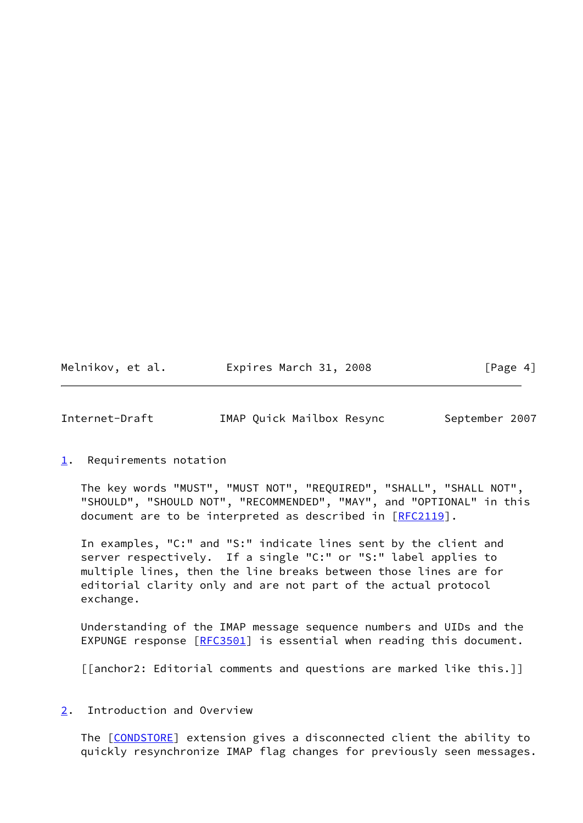| Melnikov, et al. | Expires March 31, 2008 | [Page 4] |
|------------------|------------------------|----------|
|------------------|------------------------|----------|

<span id="page-4-1"></span>Internet-Draft IMAP Quick Mailbox Resync September 2007

<span id="page-4-0"></span>[1](#page-4-0). Requirements notation

 The key words "MUST", "MUST NOT", "REQUIRED", "SHALL", "SHALL NOT", "SHOULD", "SHOULD NOT", "RECOMMENDED", "MAY", and "OPTIONAL" in this document are to be interpreted as described in [\[RFC2119](https://datatracker.ietf.org/doc/pdf/rfc2119)].

 In examples, "C:" and "S:" indicate lines sent by the client and server respectively. If a single "C:" or "S:" label applies to multiple lines, then the line breaks between those lines are for editorial clarity only and are not part of the actual protocol exchange.

 Understanding of the IMAP message sequence numbers and UIDs and the EXPUNGE response [\[RFC3501](https://datatracker.ietf.org/doc/pdf/rfc3501)] is essential when reading this document.

[[anchor2: Editorial comments and questions are marked like this.]]

<span id="page-4-2"></span>[2](#page-4-2). Introduction and Overview

The [\[CONDSTORE](#page-27-4)] extension gives a disconnected client the ability to quickly resynchronize IMAP flag changes for previously seen messages.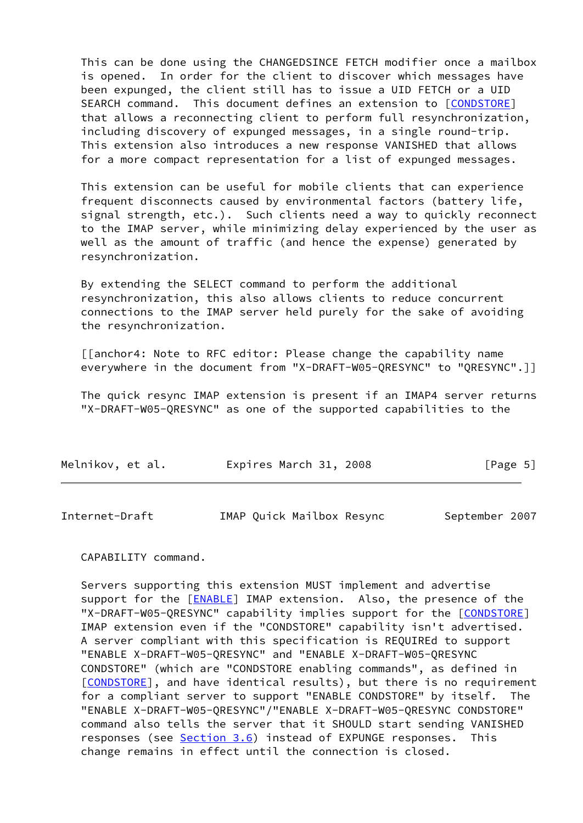This can be done using the CHANGEDSINCE FETCH modifier once a mailbox is opened. In order for the client to discover which messages have been expunged, the client still has to issue a UID FETCH or a UID SEARCH command. This document defines an extension to [\[CONDSTORE](#page-27-4)] that allows a reconnecting client to perform full resynchronization, including discovery of expunged messages, in a single round-trip. This extension also introduces a new response VANISHED that allows for a more compact representation for a list of expunged messages.

 This extension can be useful for mobile clients that can experience frequent disconnects caused by environmental factors (battery life, signal strength, etc.). Such clients need a way to quickly reconnect to the IMAP server, while minimizing delay experienced by the user as well as the amount of traffic (and hence the expense) generated by resynchronization.

 By extending the SELECT command to perform the additional resynchronization, this also allows clients to reduce concurrent connections to the IMAP server held purely for the sake of avoiding the resynchronization.

 [[anchor4: Note to RFC editor: Please change the capability name everywhere in the document from "X-DRAFT-W05-QRESYNC" to "QRESYNC".]]

 The quick resync IMAP extension is present if an IMAP4 server returns "X-DRAFT-W05-QRESYNC" as one of the supported capabilities to the

| Melnikov, et al. | Expires March 31, 2008 | [Page 5] |
|------------------|------------------------|----------|
|                  |                        |          |

| Internet-Draft | IMAP Quick Mailbox Resync |  | September 2007 |  |
|----------------|---------------------------|--|----------------|--|
|----------------|---------------------------|--|----------------|--|

CAPABILITY command.

 Servers supporting this extension MUST implement and advertise support for the [\[ENABLE](#page-27-5)] IMAP extension. Also, the presence of the "X-DRAFT-W05-QRESYNC" capability implies support for the [\[CONDSTORE\]](#page-27-4) IMAP extension even if the "CONDSTORE" capability isn't advertised. A server compliant with this specification is REQUIREd to support "ENABLE X-DRAFT-W05-QRESYNC" and "ENABLE X-DRAFT-W05-QRESYNC CONDSTORE" (which are "CONDSTORE enabling commands", as defined in [\[CONDSTORE](#page-27-4)], and have identical results), but there is no requirement for a compliant server to support "ENABLE CONDSTORE" by itself. The "ENABLE X-DRAFT-W05-QRESYNC"/"ENABLE X-DRAFT-W05-QRESYNC CONDSTORE" command also tells the server that it SHOULD start sending VANISHED responses (see [Section 3.6](#page-17-0)) instead of EXPUNGE responses. This change remains in effect until the connection is closed.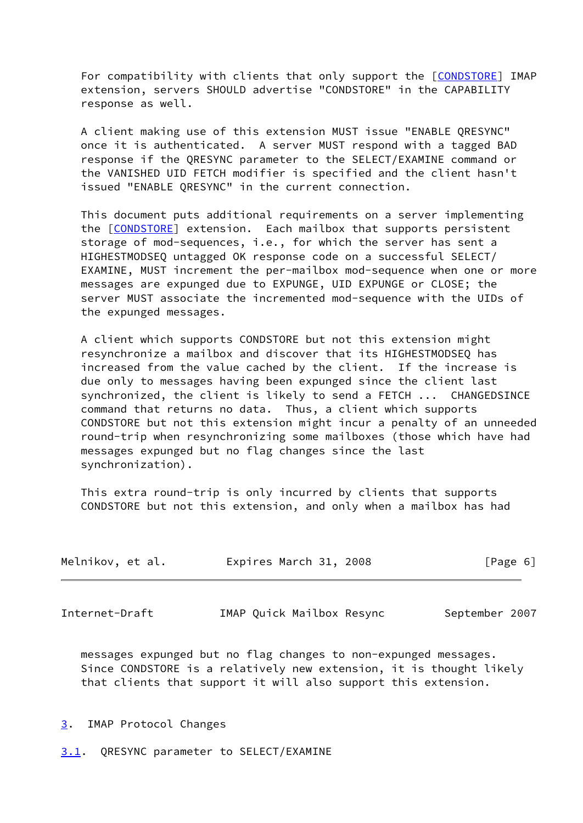For compatibility with clients that only support the [\[CONDSTORE\]](#page-27-4) IMAP extension, servers SHOULD advertise "CONDSTORE" in the CAPABILITY response as well.

 A client making use of this extension MUST issue "ENABLE QRESYNC" once it is authenticated. A server MUST respond with a tagged BAD response if the QRESYNC parameter to the SELECT/EXAMINE command or the VANISHED UID FETCH modifier is specified and the client hasn't issued "ENABLE QRESYNC" in the current connection.

 This document puts additional requirements on a server implementing the [\[CONDSTORE](#page-27-4)] extension. Each mailbox that supports persistent storage of mod-sequences, i.e., for which the server has sent a HIGHESTMODSEQ untagged OK response code on a successful SELECT/ EXAMINE, MUST increment the per-mailbox mod-sequence when one or more messages are expunged due to EXPUNGE, UID EXPUNGE or CLOSE; the server MUST associate the incremented mod-sequence with the UIDs of the expunged messages.

 A client which supports CONDSTORE but not this extension might resynchronize a mailbox and discover that its HIGHESTMODSEQ has increased from the value cached by the client. If the increase is due only to messages having been expunged since the client last synchronized, the client is likely to send a FETCH ... CHANGEDSINCE command that returns no data. Thus, a client which supports CONDSTORE but not this extension might incur a penalty of an unneeded round-trip when resynchronizing some mailboxes (those which have had messages expunged but no flag changes since the last synchronization).

 This extra round-trip is only incurred by clients that supports CONDSTORE but not this extension, and only when a mailbox has had

| Melnikov, et al. | Expires March 31, 2008 | [Page 6] |
|------------------|------------------------|----------|
|                  |                        |          |

<span id="page-6-1"></span>Internet-Draft **IMAP** Quick Mailbox Resync September 2007

 messages expunged but no flag changes to non-expunged messages. Since CONDSTORE is a relatively new extension, it is thought likely that clients that support it will also support this extension.

- <span id="page-6-0"></span>[3](#page-6-0). IMAP Protocol Changes
- <span id="page-6-2"></span>[3.1](#page-6-2). QRESYNC parameter to SELECT/EXAMINE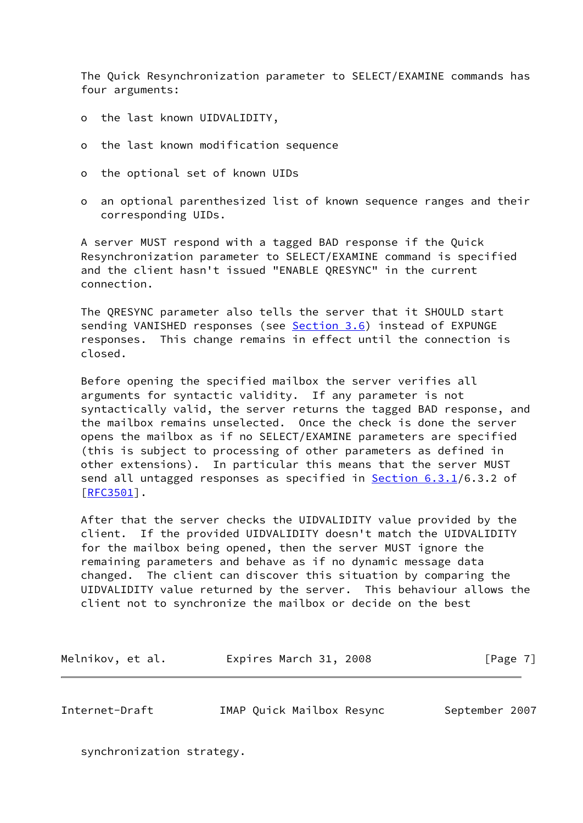The Quick Resynchronization parameter to SELECT/EXAMINE commands has four arguments:

- o the last known UIDVALIDITY,
- o the last known modification sequence
- o the optional set of known UIDs
- o an optional parenthesized list of known sequence ranges and their corresponding UIDs.

 A server MUST respond with a tagged BAD response if the Quick Resynchronization parameter to SELECT/EXAMINE command is specified and the client hasn't issued "ENABLE QRESYNC" in the current connection.

 The QRESYNC parameter also tells the server that it SHOULD start sending VANISHED responses (see [Section 3.6](#page-17-0)) instead of EXPUNGE responses. This change remains in effect until the connection is closed.

 Before opening the specified mailbox the server verifies all arguments for syntactic validity. If any parameter is not syntactically valid, the server returns the tagged BAD response, and the mailbox remains unselected. Once the check is done the server opens the mailbox as if no SELECT/EXAMINE parameters are specified (this is subject to processing of other parameters as defined in other extensions). In particular this means that the server MUST send all untagged responses as specified in Section 6.3.1/6.3.2 of [\[RFC3501](https://datatracker.ietf.org/doc/pdf/rfc3501)].

 After that the server checks the UIDVALIDITY value provided by the client. If the provided UIDVALIDITY doesn't match the UIDVALIDITY for the mailbox being opened, then the server MUST ignore the remaining parameters and behave as if no dynamic message data changed. The client can discover this situation by comparing the UIDVALIDITY value returned by the server. This behaviour allows the client not to synchronize the mailbox or decide on the best

Melnikov, et al. Expires March 31, 2008 [Page 7]

Internet-Draft IMAP Quick Mailbox Resync September 2007

synchronization strategy.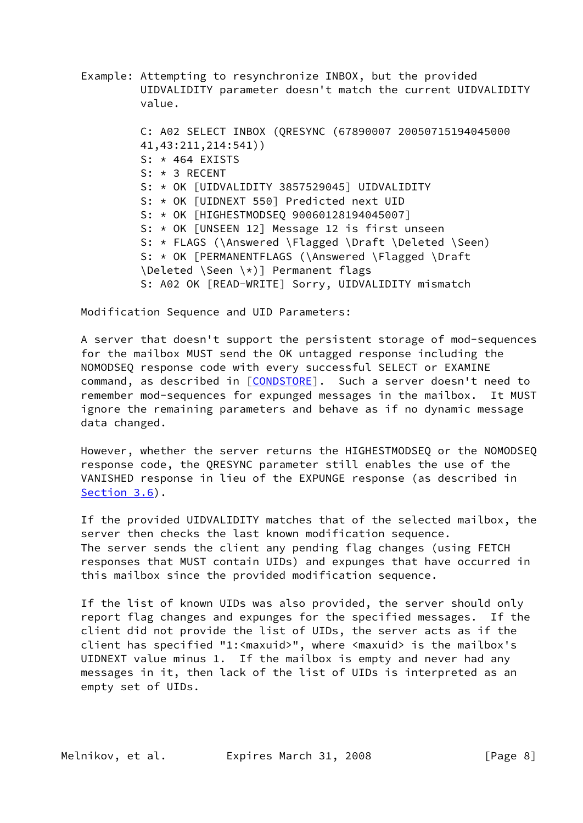Example: Attempting to resynchronize INBOX, but the provided UIDVALIDITY parameter doesn't match the current UIDVALIDITY value.

 C: A02 SELECT INBOX (QRESYNC (67890007 20050715194045000 41,43:211,214:541)) S: \* 464 EXISTS S: \* 3 RECENT S: \* OK [UIDVALIDITY 3857529045] UIDVALIDITY S: \* OK [UIDNEXT 550] Predicted next UID S: \* OK [HIGHESTMODSEQ 90060128194045007] S: \* OK [UNSEEN 12] Message 12 is first unseen S: \* FLAGS (\Answered \Flagged \Draft \Deleted \Seen) S: \* OK [PERMANENTFLAGS (\Answered \Flagged \Draft \Deleted \Seen \\*)] Permanent flags S: A02 OK [READ-WRITE] Sorry, UIDVALIDITY mismatch

Modification Sequence and UID Parameters:

 A server that doesn't support the persistent storage of mod-sequences for the mailbox MUST send the OK untagged response including the NOMODSEQ response code with every successful SELECT or EXAMINE command, as described in [\[CONDSTORE\]](#page-27-4). Such a server doesn't need to remember mod-sequences for expunged messages in the mailbox. It MUST ignore the remaining parameters and behave as if no dynamic message data changed.

 However, whether the server returns the HIGHESTMODSEQ or the NOMODSEQ response code, the QRESYNC parameter still enables the use of the VANISHED response in lieu of the EXPUNGE response (as described in [Section 3.6](#page-17-0)).

 If the provided UIDVALIDITY matches that of the selected mailbox, the server then checks the last known modification sequence. The server sends the client any pending flag changes (using FETCH responses that MUST contain UIDs) and expunges that have occurred in this mailbox since the provided modification sequence.

 If the list of known UIDs was also provided, the server should only report flag changes and expunges for the specified messages. If the client did not provide the list of UIDs, the server acts as if the client has specified "1:<maxuid>", where <maxuid> is the mailbox's UIDNEXT value minus 1. If the mailbox is empty and never had any messages in it, then lack of the list of UIDs is interpreted as an empty set of UIDs.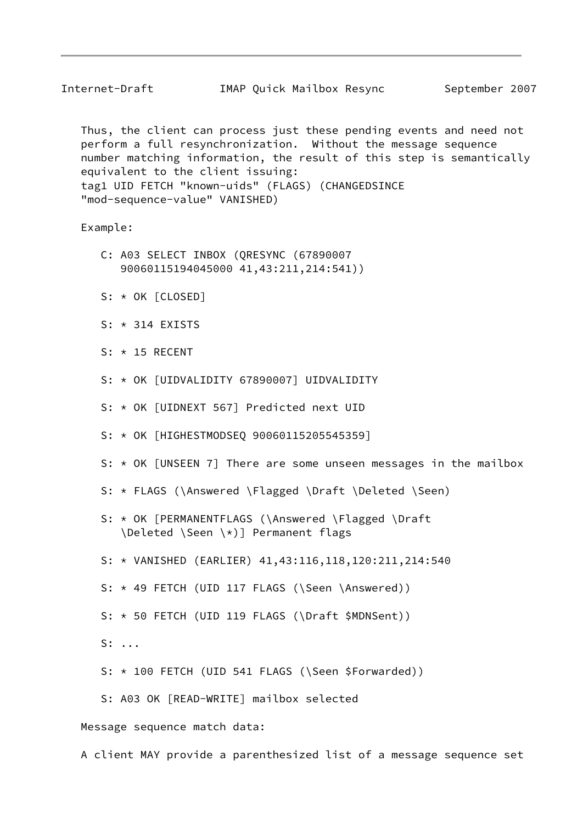Internet-Draft IMAP Quick Mailbox Resync September 2007

 Thus, the client can process just these pending events and need not perform a full resynchronization. Without the message sequence number matching information, the result of this step is semantically equivalent to the client issuing: tag1 UID FETCH "known-uids" (FLAGS) (CHANGEDSINCE "mod-sequence-value" VANISHED)

Example:

- C: A03 SELECT INBOX (QRESYNC (67890007 90060115194045000 41,43:211,214:541))
- S: \* OK [CLOSED]
- $S: * 314$  EXISTS
- S: \* 15 RECENT
- S: \* OK [UIDVALIDITY 67890007] UIDVALIDITY
- S: \* OK [UIDNEXT 567] Predicted next UID
- S: \* OK [HIGHESTMODSEQ 90060115205545359]
- S: \* OK [UNSEEN 7] There are some unseen messages in the mailbox
- S: \* FLAGS (\Answered \Flagged \Draft \Deleted \Seen)
- S: \* OK [PERMANENTFLAGS (\Answered \Flagged \Draft \Deleted \Seen \\*)] Permanent flags
- S: \* VANISHED (EARLIER) 41,43:116,118,120:211,214:540
- S: \* 49 FETCH (UID 117 FLAGS (\Seen \Answered))
- S: \* 50 FETCH (UID 119 FLAGS (\Draft \$MDNSent))
- S: ...
- S: \* 100 FETCH (UID 541 FLAGS (\Seen \$Forwarded))
- S: A03 OK [READ-WRITE] mailbox selected

Message sequence match data:

A client MAY provide a parenthesized list of a message sequence set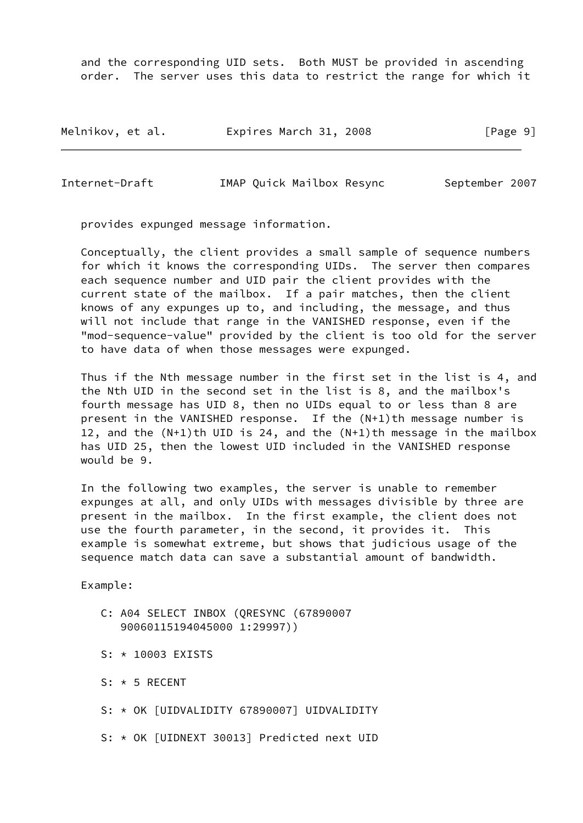and the corresponding UID sets. Both MUST be provided in ascending order. The server uses this data to restrict the range for which it

| Melnikov, et al. |  | Expires March 31, 2008 |  | [Page 9] |  |
|------------------|--|------------------------|--|----------|--|
|------------------|--|------------------------|--|----------|--|

Internet-Draft IMAP Quick Mailbox Resync September 2007

provides expunged message information.

 Conceptually, the client provides a small sample of sequence numbers for which it knows the corresponding UIDs. The server then compares each sequence number and UID pair the client provides with the current state of the mailbox. If a pair matches, then the client knows of any expunges up to, and including, the message, and thus will not include that range in the VANISHED response, even if the "mod-sequence-value" provided by the client is too old for the server to have data of when those messages were expunged.

 Thus if the Nth message number in the first set in the list is 4, and the Nth UID in the second set in the list is 8, and the mailbox's fourth message has UID 8, then no UIDs equal to or less than 8 are present in the VANISHED response. If the  $(N+1)$ th message number is 12, and the (N+1)th UID is 24, and the (N+1)th message in the mailbox has UID 25, then the lowest UID included in the VANISHED response would be 9.

 In the following two examples, the server is unable to remember expunges at all, and only UIDs with messages divisible by three are present in the mailbox. In the first example, the client does not use the fourth parameter, in the second, it provides it. This example is somewhat extreme, but shows that judicious usage of the sequence match data can save a substantial amount of bandwidth.

Example:

- C: A04 SELECT INBOX (QRESYNC (67890007 90060115194045000 1:29997))
- S: \* 10003 EXISTS
- S: \* 5 RECENT
- S: \* OK [UIDVALIDITY 67890007] UIDVALIDITY
- S: \* OK [UIDNEXT 30013] Predicted next UID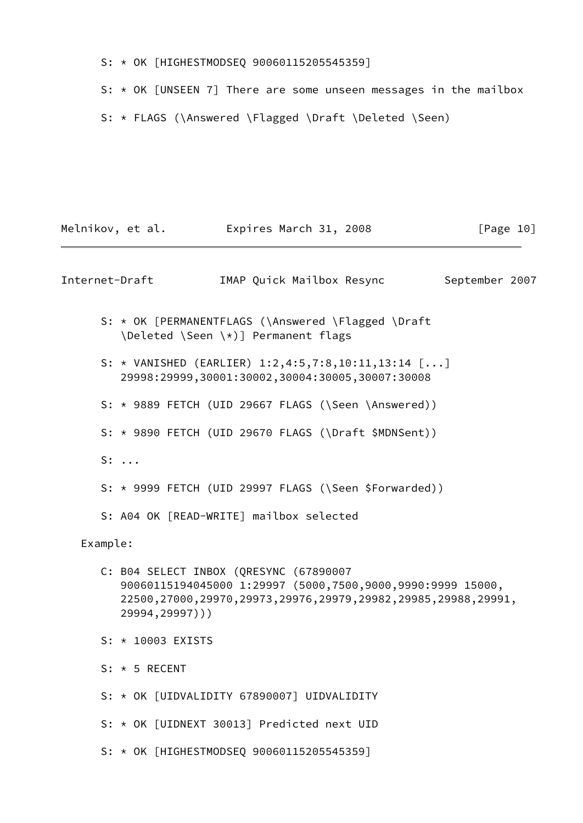- S: \* OK [HIGHESTMODSEQ 90060115205545359]
- S: \* OK [UNSEEN 7] There are some unseen messages in the mailbox
- S: \* FLAGS (\Answered \Flagged \Draft \Deleted \Seen)

|          | Melnikov, et al. Expires March 31, 2008                                                                                                                                                 |                           | [Page 10]      |
|----------|-----------------------------------------------------------------------------------------------------------------------------------------------------------------------------------------|---------------------------|----------------|
|          | Internet-Draft                                                                                                                                                                          | IMAP Quick Mailbox Resync | September 2007 |
|          | S: * OK [PERMANENTFLAGS (\Answered \Flagged \Draft<br>\Deleted \Seen \*)] Permanent flags                                                                                               |                           |                |
|          | S: * VANISHED (EARLIER) $1:2,4:5,7:8,10:11,13:14$ []<br>29998:29999,30001:30002,30004:30005,30007:30008                                                                                 |                           |                |
|          | S: * 9889 FETCH (UID 29667 FLAGS (\Seen \Answered))                                                                                                                                     |                           |                |
|          | S: * 9890 FETCH (UID 29670 FLAGS (\Draft \$MDNSent))                                                                                                                                    |                           |                |
|          | $S: \ldots$                                                                                                                                                                             |                           |                |
|          | S: * 9999 FETCH (UID 29997 FLAGS (\Seen \$Forwarded))                                                                                                                                   |                           |                |
|          | S: A04 OK [READ-WRITE] mailbox selected                                                                                                                                                 |                           |                |
| Example: |                                                                                                                                                                                         |                           |                |
|          | C: B04 SELECT INBOX (QRESYNC (67890007<br>90060115194045000 1:29997 (5000,7500,9000,9990:9999 15000,<br>22500,27000,29970,29973,29976,29979,29982,29985,29988,29991,<br>29994, 29997))) |                           |                |
|          | S: * 10003 EXISTS                                                                                                                                                                       |                           |                |
|          | $S: * 5 RECENT$                                                                                                                                                                         |                           |                |
|          | S: * OK [UIDVALIDITY 67890007] UIDVALIDITY                                                                                                                                              |                           |                |
|          | S: * OK [UIDNEXT 30013] Predicted next UID                                                                                                                                              |                           |                |
|          | S: * OK [HIGHESTMODSEQ 90060115205545359]                                                                                                                                               |                           |                |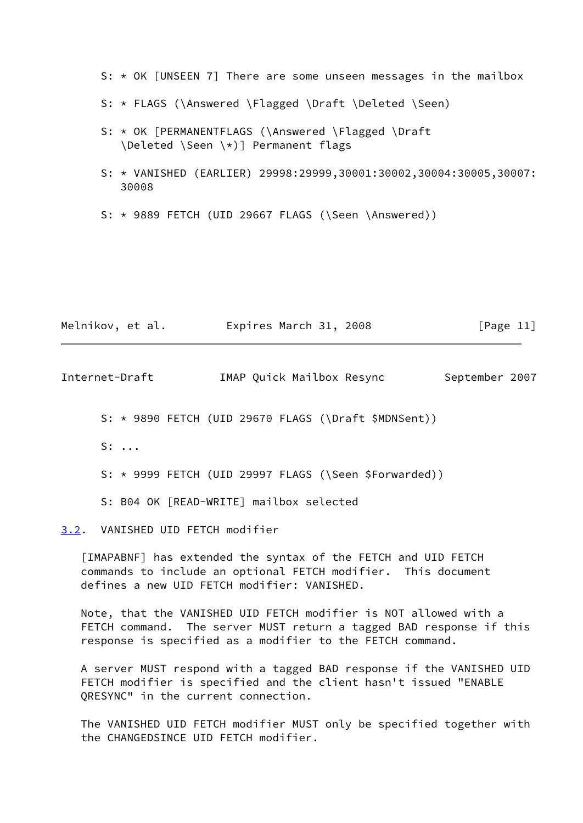S: \* OK [UNSEEN 7] There are some unseen messages in the mailbox

- S: \* FLAGS (\Answered \Flagged \Draft \Deleted \Seen)
- S: \* OK [PERMANENTFLAGS (\Answered \Flagged \Draft \Deleted \Seen \\*)] Permanent flags
- S: \* VANISHED (EARLIER) 29998:29999,30001:30002,30004:30005,30007: 30008
- S: \* 9889 FETCH (UID 29667 FLAGS (\Seen \Answered))

| Melnikov, et al. | Expires March 31, 2008 | [Page 11] |
|------------------|------------------------|-----------|
|------------------|------------------------|-----------|

<span id="page-12-1"></span>

| Internet-Draft | IMAP Quick Mailbox Resync | September 2007 |
|----------------|---------------------------|----------------|
|----------------|---------------------------|----------------|

S: \* 9890 FETCH (UID 29670 FLAGS (\Draft \$MDNSent))

S: ...

S: \* 9999 FETCH (UID 29997 FLAGS (\Seen \$Forwarded))

S: B04 OK [READ-WRITE] mailbox selected

<span id="page-12-0"></span>[3.2](#page-12-0). VANISHED UID FETCH modifier

<span id="page-12-2"></span> [IMAPABNF] has extended the syntax of the FETCH and UID FETCH commands to include an optional FETCH modifier. This document defines a new UID FETCH modifier: VANISHED.

 Note, that the VANISHED UID FETCH modifier is NOT allowed with a FETCH command. The server MUST return a tagged BAD response if this response is specified as a modifier to the FETCH command.

 A server MUST respond with a tagged BAD response if the VANISHED UID FETCH modifier is specified and the client hasn't issued "ENABLE QRESYNC" in the current connection.

 The VANISHED UID FETCH modifier MUST only be specified together with the CHANGEDSINCE UID FETCH modifier.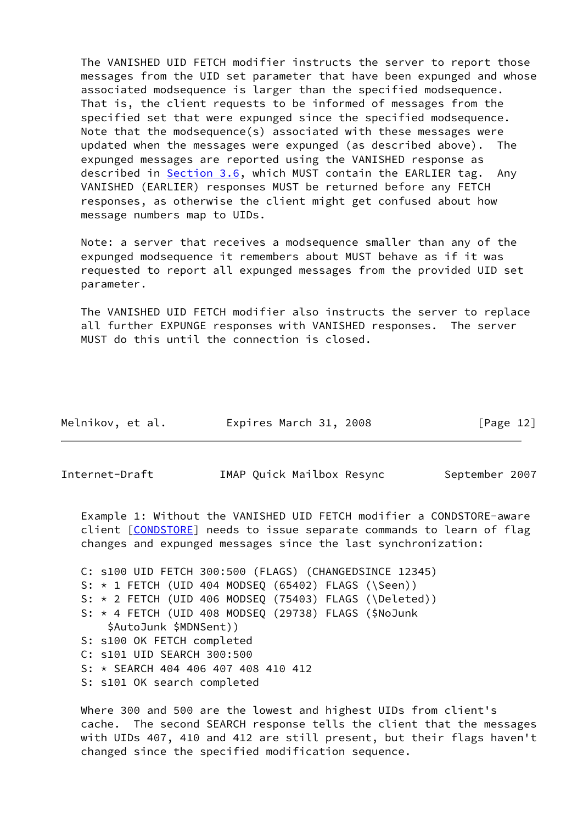The VANISHED UID FETCH modifier instructs the server to report those messages from the UID set parameter that have been expunged and whose associated modsequence is larger than the specified modsequence. That is, the client requests to be informed of messages from the specified set that were expunged since the specified modsequence. Note that the modsequence(s) associated with these messages were updated when the messages were expunged (as described above). The expunged messages are reported using the VANISHED response as described in [Section 3.6](#page-17-0), which MUST contain the EARLIER tag. Any VANISHED (EARLIER) responses MUST be returned before any FETCH responses, as otherwise the client might get confused about how message numbers map to UIDs.

 Note: a server that receives a modsequence smaller than any of the expunged modsequence it remembers about MUST behave as if it was requested to report all expunged messages from the provided UID set parameter.

 The VANISHED UID FETCH modifier also instructs the server to replace all further EXPUNGE responses with VANISHED responses. The server MUST do this until the connection is closed.

| Melnikov, et al. | Expires March 31, 2008 | [Page 12] |
|------------------|------------------------|-----------|
|------------------|------------------------|-----------|

<span id="page-13-0"></span>Internet-Draft IMAP Quick Mailbox Resync September 2007

 Example 1: Without the VANISHED UID FETCH modifier a CONDSTORE-aware client [\[CONDSTORE](#page-27-4)] needs to issue separate commands to learn of flag changes and expunged messages since the last synchronization:

 C: s100 UID FETCH 300:500 (FLAGS) (CHANGEDSINCE 12345) S: \* 1 FETCH (UID 404 MODSEQ (65402) FLAGS (\Seen)) S: \* 2 FETCH (UID 406 MODSEQ (75403) FLAGS (\Deleted)) S: \* 4 FETCH (UID 408 MODSEQ (29738) FLAGS (\$NoJunk \$AutoJunk \$MDNSent)) S: s100 OK FETCH completed C: s101 UID SEARCH 300:500 S: \* SEARCH 404 406 407 408 410 412 S: s101 OK search completed

 Where 300 and 500 are the lowest and highest UIDs from client's cache. The second SEARCH response tells the client that the messages with UIDs 407, 410 and 412 are still present, but their flags haven't changed since the specified modification sequence.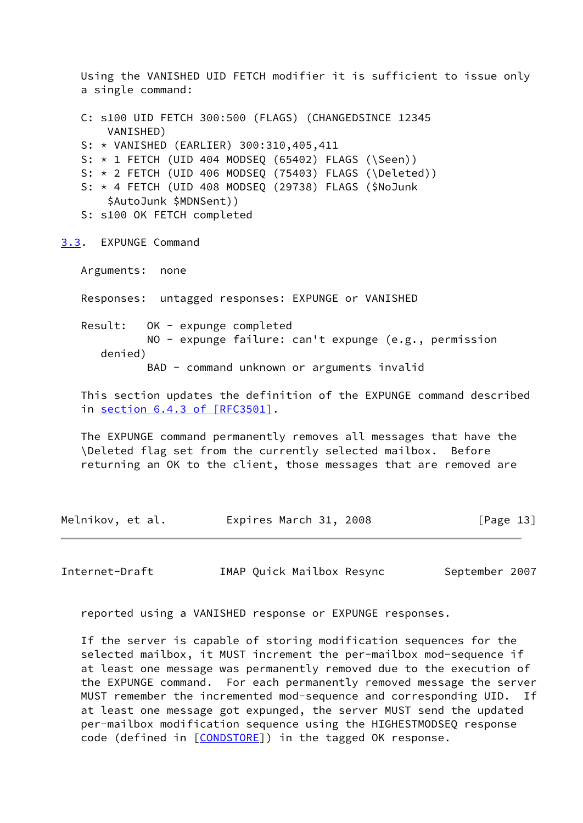Using the VANISHED UID FETCH modifier it is sufficient to issue only a single command: C: s100 UID FETCH 300:500 (FLAGS) (CHANGEDSINCE 12345 VANISHED) S: \* VANISHED (EARLIER) 300:310,405,411 S: \* 1 FETCH (UID 404 MODSEQ (65402) FLAGS (\Seen)) S: \* 2 FETCH (UID 406 MODSEQ (75403) FLAGS (\Deleted)) S: \* 4 FETCH (UID 408 MODSEQ (29738) FLAGS (\$NoJunk \$AutoJunk \$MDNSent)) S: s100 OK FETCH completed [3.3](#page-14-0). EXPUNGE Command Arguments: none Responses: untagged responses: EXPUNGE or VANISHED Result: OK - expunge completed NO - expunge failure: can't expunge (e.g., permission denied) BAD - command unknown or arguments invalid

<span id="page-14-0"></span> This section updates the definition of the EXPUNGE command described in section [6.4.3 of \[RFC3501\].](https://datatracker.ietf.org/doc/pdf/rfc3501#section-6.4.3)

 The EXPUNGE command permanently removes all messages that have the \Deleted flag set from the currently selected mailbox. Before returning an OK to the client, those messages that are removed are

Melnikov, et al. Expires March 31, 2008 [Page 13]

<span id="page-14-1"></span>Internet-Draft IMAP Quick Mailbox Resync September 2007

reported using a VANISHED response or EXPUNGE responses.

 If the server is capable of storing modification sequences for the selected mailbox, it MUST increment the per-mailbox mod-sequence if at least one message was permanently removed due to the execution of the EXPUNGE command. For each permanently removed message the server MUST remember the incremented mod-sequence and corresponding UID. If at least one message got expunged, the server MUST send the updated per-mailbox modification sequence using the HIGHESTMODSEQ response code (defined in [\[CONDSTORE\]](#page-27-4)) in the tagged OK response.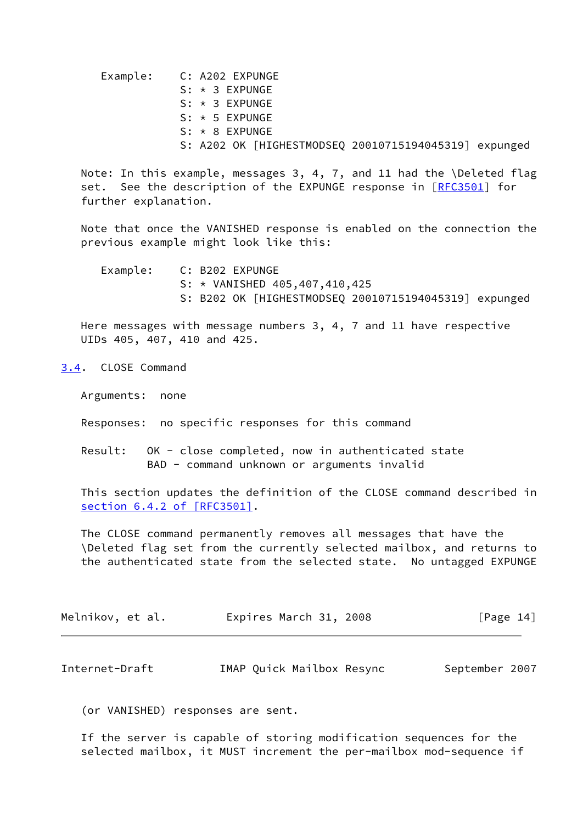| Example: C: A202 EXPUNGE |                      |                                                       |  |  |
|--------------------------|----------------------|-------------------------------------------------------|--|--|
|                          | $S: \star 3$ EXPUNGE |                                                       |  |  |
|                          | $S: \star 3$ EXPUNGE |                                                       |  |  |
|                          | $S: * 5$ EXPUNGE     |                                                       |  |  |
|                          | $S: * 8$ EXPUNGE     |                                                       |  |  |
|                          |                      | S: A202 OK [HIGHESTMODSEQ 20010715194045319] expunged |  |  |

 Note: In this example, messages 3, 4, 7, and 11 had the \Deleted flag set. See the description of the EXPUNGE response in [\[RFC3501](https://datatracker.ietf.org/doc/pdf/rfc3501)] for further explanation.

 Note that once the VANISHED response is enabled on the connection the previous example might look like this:

 Example: C: B202 EXPUNGE S: \* VANISHED 405,407,410,425 S: B202 OK [HIGHESTMODSEQ 20010715194045319] expunged

 Here messages with message numbers 3, 4, 7 and 11 have respective UIDs 405, 407, 410 and 425.

<span id="page-15-0"></span>[3.4](#page-15-0). CLOSE Command

Arguments: none

Responses: no specific responses for this command

 Result: OK - close completed, now in authenticated state BAD - command unknown or arguments invalid

 This section updates the definition of the CLOSE command described in section [6.4.2 of \[RFC3501\]](https://datatracker.ietf.org/doc/pdf/rfc3501#section-6.4.2).

 The CLOSE command permanently removes all messages that have the \Deleted flag set from the currently selected mailbox, and returns to the authenticated state from the selected state. No untagged EXPUNGE

| Melnikov, et al. | Expires March 31, 2008 | [Page 14] |
|------------------|------------------------|-----------|
|                  |                        |           |

<span id="page-15-1"></span>Internet-Draft **IMAP Quick Mailbox Resync** September 2007

(or VANISHED) responses are sent.

 If the server is capable of storing modification sequences for the selected mailbox, it MUST increment the per-mailbox mod-sequence if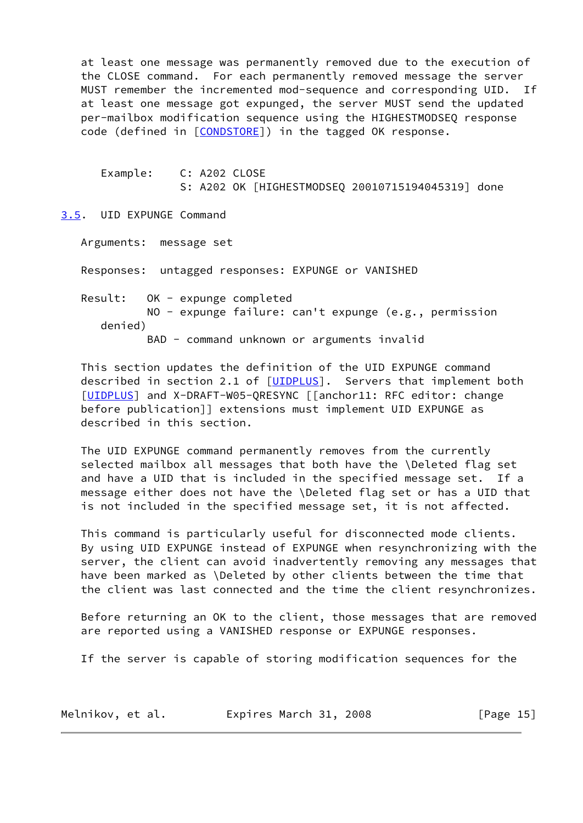at least one message was permanently removed due to the execution of the CLOSE command. For each permanently removed message the server MUST remember the incremented mod-sequence and corresponding UID. If at least one message got expunged, the server MUST send the updated per-mailbox modification sequence using the HIGHESTMODSEQ response code (defined in [\[CONDSTORE\]](#page-27-4)) in the tagged OK response.

 Example: C: A202 CLOSE S: A202 OK [HIGHESTMODSEQ 20010715194045319] done

<span id="page-16-0"></span>[3.5](#page-16-0). UID EXPUNGE Command

Arguments: message set

Responses: untagged responses: EXPUNGE or VANISHED

 Result: OK - expunge completed NO - expunge failure: can't expunge (e.g., permission denied)

BAD - command unknown or arguments invalid

 This section updates the definition of the UID EXPUNGE command described in section 2.1 of [\[UIDPLUS](#page-28-2)]. Servers that implement both [\[UIDPLUS](#page-28-2)] and X-DRAFT-W05-QRESYNC [[anchor11: RFC editor: change before publication]] extensions must implement UID EXPUNGE as described in this section.

 The UID EXPUNGE command permanently removes from the currently selected mailbox all messages that both have the \Deleted flag set and have a UID that is included in the specified message set. If a message either does not have the \Deleted flag set or has a UID that is not included in the specified message set, it is not affected.

 This command is particularly useful for disconnected mode clients. By using UID EXPUNGE instead of EXPUNGE when resynchronizing with the server, the client can avoid inadvertently removing any messages that have been marked as \Deleted by other clients between the time that the client was last connected and the time the client resynchronizes.

 Before returning an OK to the client, those messages that are removed are reported using a VANISHED response or EXPUNGE responses.

If the server is capable of storing modification sequences for the

| Melnikov, et al. | Expires March 31, 2008 | [Page $15$ ] |
|------------------|------------------------|--------------|
|------------------|------------------------|--------------|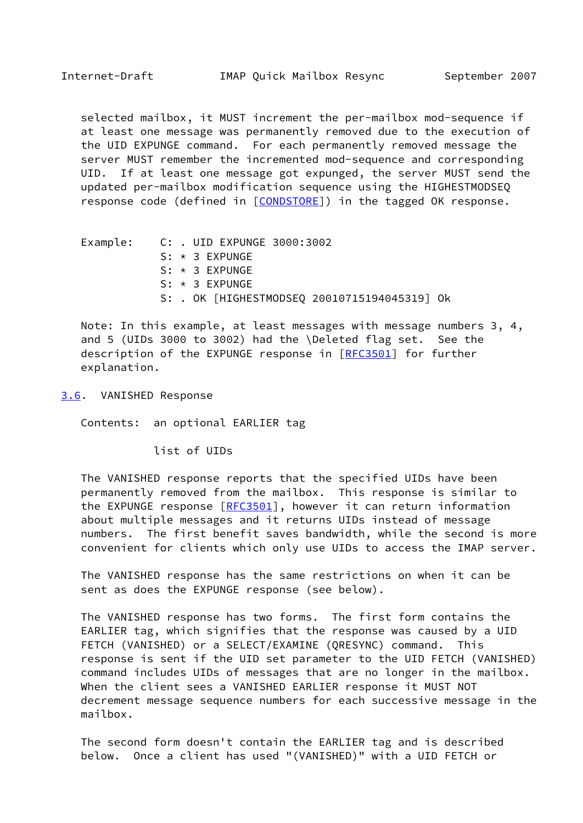<span id="page-17-1"></span> selected mailbox, it MUST increment the per-mailbox mod-sequence if at least one message was permanently removed due to the execution of the UID EXPUNGE command. For each permanently removed message the server MUST remember the incremented mod-sequence and corresponding UID. If at least one message got expunged, the server MUST send the updated per-mailbox modification sequence using the HIGHESTMODSEQ response code (defined in [[CONDSTORE\]](#page-27-4)) in the tagged OK response.

Example: C: . UID EXPUNGE 3000:3002 S: \* 3 EXPUNGE S: \* 3 EXPUNGE S: \* 3 EXPUNGE S: . OK [HIGHESTMODSEQ 20010715194045319] Ok

 Note: In this example, at least messages with message numbers 3, 4, and 5 (UIDs 3000 to 3002) had the \Deleted flag set. See the description of the EXPUNGE response in [\[RFC3501](https://datatracker.ietf.org/doc/pdf/rfc3501)] for further explanation.

<span id="page-17-0"></span>[3.6](#page-17-0). VANISHED Response

Contents: an optional EARLIER tag

list of UIDs

 The VANISHED response reports that the specified UIDs have been permanently removed from the mailbox. This response is similar to the EXPUNGE response [\[RFC3501](https://datatracker.ietf.org/doc/pdf/rfc3501)], however it can return information about multiple messages and it returns UIDs instead of message numbers. The first benefit saves bandwidth, while the second is more convenient for clients which only use UIDs to access the IMAP server.

 The VANISHED response has the same restrictions on when it can be sent as does the EXPUNGE response (see below).

 The VANISHED response has two forms. The first form contains the EARLIER tag, which signifies that the response was caused by a UID FETCH (VANISHED) or a SELECT/EXAMINE (QRESYNC) command. This response is sent if the UID set parameter to the UID FETCH (VANISHED) command includes UIDs of messages that are no longer in the mailbox. When the client sees a VANISHED EARLIER response it MUST NOT decrement message sequence numbers for each successive message in the mailbox.

 The second form doesn't contain the EARLIER tag and is described below. Once a client has used "(VANISHED)" with a UID FETCH or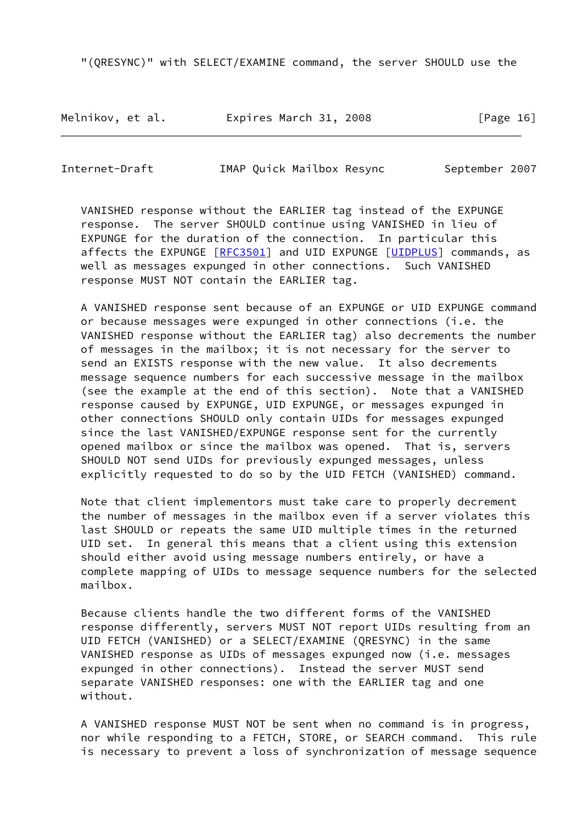"(QRESYNC)" with SELECT/EXAMINE command, the server SHOULD use the

Melnikov, et al. **Expires March 31, 2008** [Page 16]

Internet-Draft IMAP Quick Mailbox Resync September 2007

 VANISHED response without the EARLIER tag instead of the EXPUNGE response. The server SHOULD continue using VANISHED in lieu of EXPUNGE for the duration of the connection. In particular this affects the EXPUNGE [\[RFC3501](https://datatracker.ietf.org/doc/pdf/rfc3501)] and UID EXPUNGE [[UIDPLUS](#page-28-2)] commands, as well as messages expunged in other connections. Such VANISHED response MUST NOT contain the EARLIER tag.

 A VANISHED response sent because of an EXPUNGE or UID EXPUNGE command or because messages were expunged in other connections (i.e. the VANISHED response without the EARLIER tag) also decrements the number of messages in the mailbox; it is not necessary for the server to send an EXISTS response with the new value. It also decrements message sequence numbers for each successive message in the mailbox (see the example at the end of this section). Note that a VANISHED response caused by EXPUNGE, UID EXPUNGE, or messages expunged in other connections SHOULD only contain UIDs for messages expunged since the last VANISHED/EXPUNGE response sent for the currently opened mailbox or since the mailbox was opened. That is, servers SHOULD NOT send UIDs for previously expunged messages, unless explicitly requested to do so by the UID FETCH (VANISHED) command.

 Note that client implementors must take care to properly decrement the number of messages in the mailbox even if a server violates this last SHOULD or repeats the same UID multiple times in the returned UID set. In general this means that a client using this extension should either avoid using message numbers entirely, or have a complete mapping of UIDs to message sequence numbers for the selected mailbox.

 Because clients handle the two different forms of the VANISHED response differently, servers MUST NOT report UIDs resulting from an UID FETCH (VANISHED) or a SELECT/EXAMINE (QRESYNC) in the same VANISHED response as UIDs of messages expunged now (i.e. messages expunged in other connections). Instead the server MUST send separate VANISHED responses: one with the EARLIER tag and one without.

 A VANISHED response MUST NOT be sent when no command is in progress, nor while responding to a FETCH, STORE, or SEARCH command. This rule is necessary to prevent a loss of synchronization of message sequence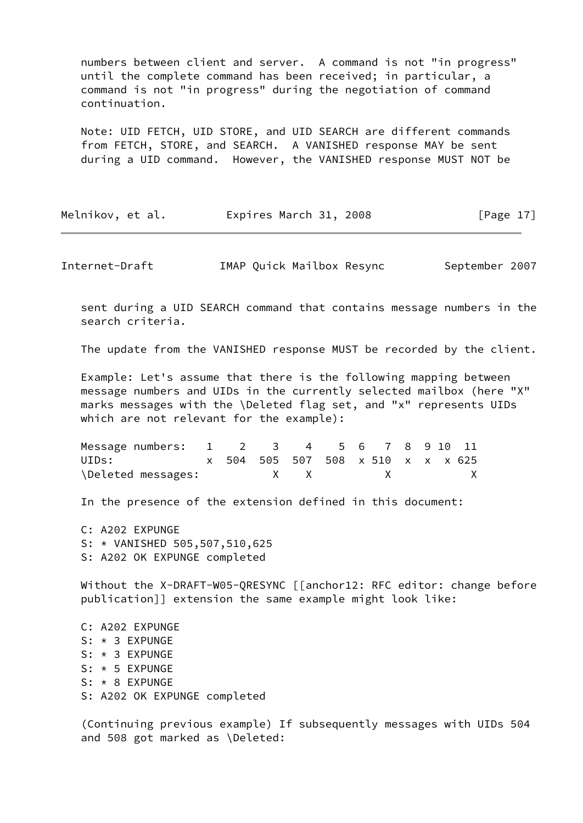numbers between client and server. A command is not "in progress" until the complete command has been received; in particular, a command is not "in progress" during the negotiation of command continuation.

 Note: UID FETCH, UID STORE, and UID SEARCH are different commands from FETCH, STORE, and SEARCH. A VANISHED response MAY be sent during a UID command. However, the VANISHED response MUST NOT be

| Melnikov, et al. | Expires March 31, 2008 | [Page $17$ ] |
|------------------|------------------------|--------------|
|------------------|------------------------|--------------|

<span id="page-19-0"></span>Internet-Draft IMAP Quick Mailbox Resync September 2007

 sent during a UID SEARCH command that contains message numbers in the search criteria.

The update from the VANISHED response MUST be recorded by the client.

 Example: Let's assume that there is the following mapping between message numbers and UIDs in the currently selected mailbox (here "X" marks messages with the \Deleted flag set, and "x" represents UIDs which are not relevant for the example):

| Message numbers: 1 2 3 4 5 6 7 8 9 10 11 |  |              |                                   |                                                                                                                                                                                                                                                                                                  |  |              |
|------------------------------------------|--|--------------|-----------------------------------|--------------------------------------------------------------------------------------------------------------------------------------------------------------------------------------------------------------------------------------------------------------------------------------------------|--|--------------|
| UIDs:                                    |  |              | x 504 505 507 508 x 510 x x x 625 |                                                                                                                                                                                                                                                                                                  |  |              |
| \Deleted messages:                       |  | $x \times x$ |                                   | $\mathsf{X}$ and $\mathsf{X}$ and $\mathsf{X}$ are $\mathsf{X}$ and $\mathsf{X}$ are $\mathsf{X}$ and $\mathsf{X}$ are $\mathsf{X}$ and $\mathsf{X}$ are $\mathsf{X}$ and $\mathsf{X}$ are $\mathsf{X}$ and $\mathsf{X}$ are $\mathsf{X}$ and $\mathsf{X}$ are $\mathsf{X}$ and $\mathsf{X}$ are |  | $\mathsf{X}$ |

In the presence of the extension defined in this document:

 C: A202 EXPUNGE S: \* VANISHED 505,507,510,625 S: A202 OK EXPUNGE completed

Without the X-DRAFT-W05-QRESYNC [[anchor12: RFC editor: change before publication]] extension the same example might look like:

 C: A202 EXPUNGE S: \* 3 EXPUNGE S: \* 3 EXPUNGE S: \* 5 EXPUNGE S: \* 8 EXPUNGE S: A202 OK EXPUNGE completed

 (Continuing previous example) If subsequently messages with UIDs 504 and 508 got marked as \Deleted: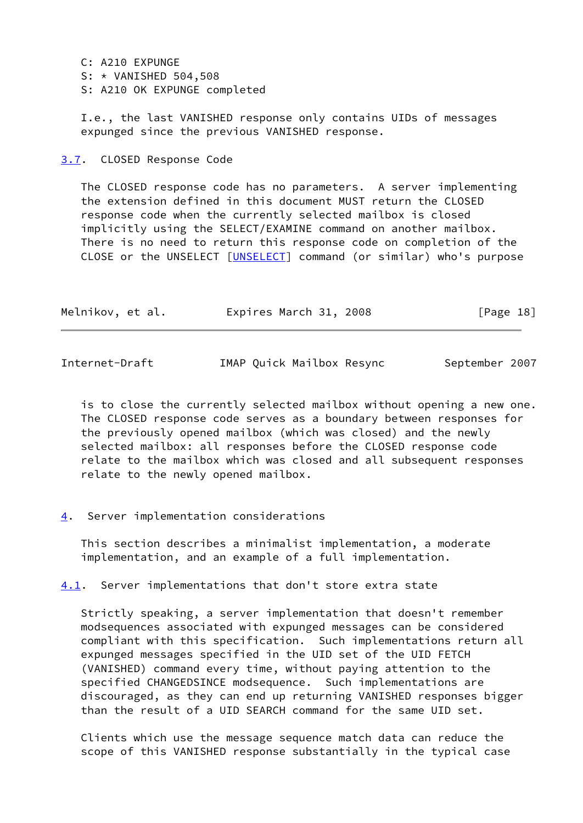- C: A210 EXPUNGE
- S: \* VANISHED 504,508
- S: A210 OK EXPUNGE completed

 I.e., the last VANISHED response only contains UIDs of messages expunged since the previous VANISHED response.

<span id="page-20-0"></span>[3.7](#page-20-0). CLOSED Response Code

 The CLOSED response code has no parameters. A server implementing the extension defined in this document MUST return the CLOSED response code when the currently selected mailbox is closed implicitly using the SELECT/EXAMINE command on another mailbox. There is no need to return this response code on completion of the CLOSE or the UNSELECT [[UNSELECT\]](#page-28-3) command (or similar) who's purpose

| Melnikov, et al. | Expires March 31, 2008 | [Page 18] |
|------------------|------------------------|-----------|
|------------------|------------------------|-----------|

<span id="page-20-2"></span>Internet-Draft IMAP Quick Mailbox Resync September 2007

 is to close the currently selected mailbox without opening a new one. The CLOSED response code serves as a boundary between responses for the previously opened mailbox (which was closed) and the newly selected mailbox: all responses before the CLOSED response code relate to the mailbox which was closed and all subsequent responses relate to the newly opened mailbox.

<span id="page-20-1"></span>[4](#page-20-1). Server implementation considerations

 This section describes a minimalist implementation, a moderate implementation, and an example of a full implementation.

<span id="page-20-3"></span>[4.1](#page-20-3). Server implementations that don't store extra state

 Strictly speaking, a server implementation that doesn't remember modsequences associated with expunged messages can be considered compliant with this specification. Such implementations return all expunged messages specified in the UID set of the UID FETCH (VANISHED) command every time, without paying attention to the specified CHANGEDSINCE modsequence. Such implementations are discouraged, as they can end up returning VANISHED responses bigger than the result of a UID SEARCH command for the same UID set.

 Clients which use the message sequence match data can reduce the scope of this VANISHED response substantially in the typical case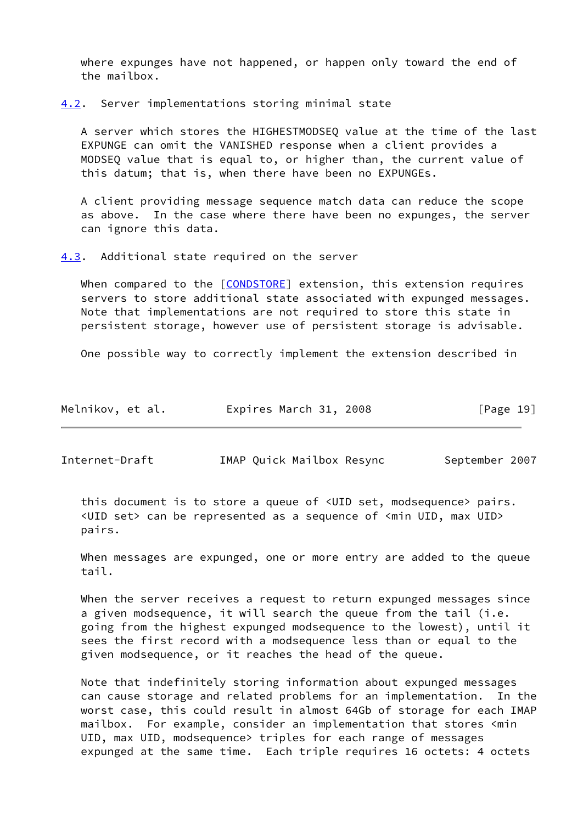where expunges have not happened, or happen only toward the end of the mailbox.

<span id="page-21-0"></span>[4.2](#page-21-0). Server implementations storing minimal state

 A server which stores the HIGHESTMODSEQ value at the time of the last EXPUNGE can omit the VANISHED response when a client provides a MODSEQ value that is equal to, or higher than, the current value of this datum; that is, when there have been no EXPUNGEs.

 A client providing message sequence match data can reduce the scope as above. In the case where there have been no expunges, the server can ignore this data.

<span id="page-21-1"></span>[4.3](#page-21-1). Additional state required on the server

When compared to the [\[CONDSTORE\]](#page-27-4) extension, this extension requires servers to store additional state associated with expunged messages. Note that implementations are not required to store this state in persistent storage, however use of persistent storage is advisable.

One possible way to correctly implement the extension described in

| Melnikov, et al. | Expires March 31, 2008 | [Page 19] |
|------------------|------------------------|-----------|
|------------------|------------------------|-----------|

Internet-Draft **IMAP Quick Mailbox Resync** September 2007

 this document is to store a queue of <UID set, modsequence> pairs. <UID set> can be represented as a sequence of <min UID, max UID> pairs.

 When messages are expunged, one or more entry are added to the queue tail.

When the server receives a request to return expunged messages since a given modsequence, it will search the queue from the tail (i.e. going from the highest expunged modsequence to the lowest), until it sees the first record with a modsequence less than or equal to the given modsequence, or it reaches the head of the queue.

 Note that indefinitely storing information about expunged messages can cause storage and related problems for an implementation. In the worst case, this could result in almost 64Gb of storage for each IMAP mailbox. For example, consider an implementation that stores <min UID, max UID, modsequence> triples for each range of messages expunged at the same time. Each triple requires 16 octets: 4 octets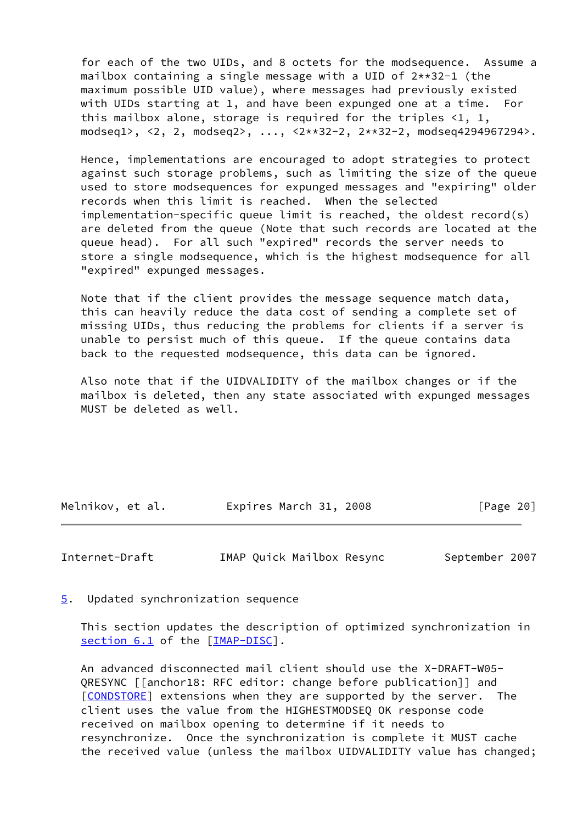for each of the two UIDs, and 8 octets for the modsequence. Assume a mailbox containing a single message with a UID of 2\*\*32-1 (the maximum possible UID value), where messages had previously existed with UIDs starting at 1, and have been expunged one at a time. For this mailbox alone, storage is required for the triples  $\langle 1, 1, 1 \rangle$ modseq1>, <2, 2, modseq2>, ..., <2\*\*32-2, 2\*\*32-2, modseq4294967294>.

 Hence, implementations are encouraged to adopt strategies to protect against such storage problems, such as limiting the size of the queue used to store modsequences for expunged messages and "expiring" older records when this limit is reached. When the selected implementation-specific queue limit is reached, the oldest record(s) are deleted from the queue (Note that such records are located at the queue head). For all such "expired" records the server needs to store a single modsequence, which is the highest modsequence for all "expired" expunged messages.

 Note that if the client provides the message sequence match data, this can heavily reduce the data cost of sending a complete set of missing UIDs, thus reducing the problems for clients if a server is unable to persist much of this queue. If the queue contains data back to the requested modsequence, this data can be ignored.

 Also note that if the UIDVALIDITY of the mailbox changes or if the mailbox is deleted, then any state associated with expunged messages MUST be deleted as well.

| Melnikov, et al. | Expires March 31, 2008 | [Page 20] |
|------------------|------------------------|-----------|
|                  |                        |           |

<span id="page-22-1"></span>Internet-Draft IMAP Quick Mailbox Resync September 2007

<span id="page-22-0"></span>[5](#page-22-0). Updated synchronization sequence

 This section updates the description of optimized synchronization in section 6.1 of the [[IMAP-DISC\]](#page-28-4).

 An advanced disconnected mail client should use the X-DRAFT-W05- QRESYNC [[anchor18: RFC editor: change before publication]] and [\[CONDSTORE](#page-27-4)] extensions when they are supported by the server. The client uses the value from the HIGHESTMODSEQ OK response code received on mailbox opening to determine if it needs to resynchronize. Once the synchronization is complete it MUST cache the received value (unless the mailbox UIDVALIDITY value has changed;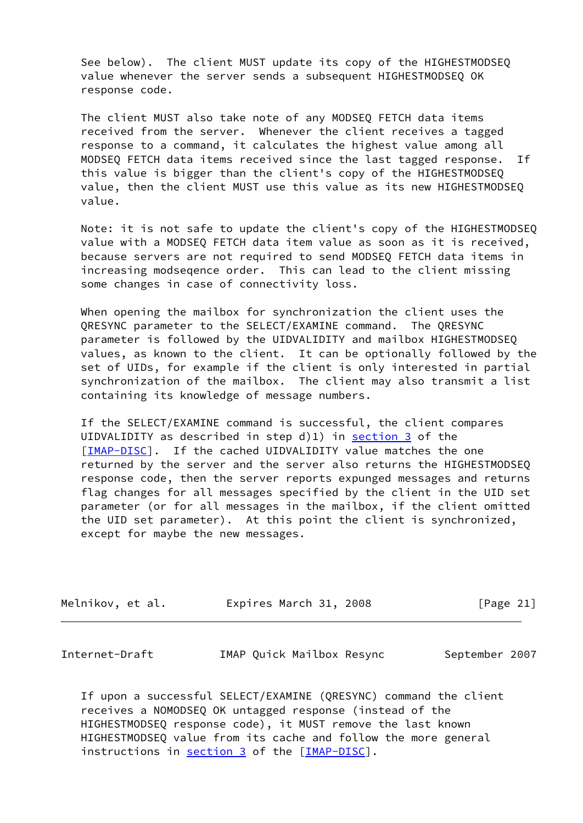See below). The client MUST update its copy of the HIGHESTMODSEQ value whenever the server sends a subsequent HIGHESTMODSEQ OK response code.

 The client MUST also take note of any MODSEQ FETCH data items received from the server. Whenever the client receives a tagged response to a command, it calculates the highest value among all MODSEQ FETCH data items received since the last tagged response. If this value is bigger than the client's copy of the HIGHESTMODSEQ value, then the client MUST use this value as its new HIGHESTMODSEQ value.

 Note: it is not safe to update the client's copy of the HIGHESTMODSEQ value with a MODSEQ FETCH data item value as soon as it is received, because servers are not required to send MODSEQ FETCH data items in increasing modseqence order. This can lead to the client missing some changes in case of connectivity loss.

 When opening the mailbox for synchronization the client uses the QRESYNC parameter to the SELECT/EXAMINE command. The QRESYNC parameter is followed by the UIDVALIDITY and mailbox HIGHESTMODSEQ values, as known to the client. It can be optionally followed by the set of UIDs, for example if the client is only interested in partial synchronization of the mailbox. The client may also transmit a list containing its knowledge of message numbers.

 If the SELECT/EXAMINE command is successful, the client compares UIDVALIDITY as described in step  $d(1)$  in [section 3](#page-6-0) of the [\[IMAP-DISC](#page-28-4)]. If the cached UIDVALIDITY value matches the one returned by the server and the server also returns the HIGHESTMODSEQ response code, then the server reports expunged messages and returns flag changes for all messages specified by the client in the UID set parameter (or for all messages in the mailbox, if the client omitted the UID set parameter). At this point the client is synchronized, except for maybe the new messages.

| Melnikov, et al. | Expires March 31, 2008 | [Page 21] |
|------------------|------------------------|-----------|
|------------------|------------------------|-----------|

Internet-Draft IMAP Quick Mailbox Resync September 2007

 If upon a successful SELECT/EXAMINE (QRESYNC) command the client receives a NOMODSEQ OK untagged response (instead of the HIGHESTMODSEQ response code), it MUST remove the last known HIGHESTMODSEQ value from its cache and follow the more general instructions in [section 3](#page-6-0) of the [\[IMAP-DISC\]](#page-28-4).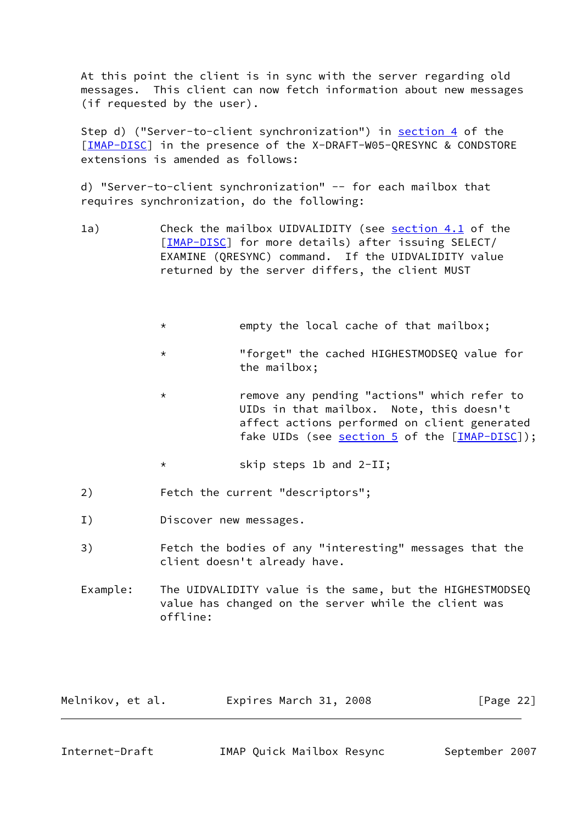At this point the client is in sync with the server regarding old messages. This client can now fetch information about new messages (if requested by the user).

Step d) ("Server-to-client synchronization") in [section 4](#page-20-1) of the [\[IMAP-DISC](#page-28-4)] in the presence of the X-DRAFT-W05-QRESYNC & CONDSTORE extensions is amended as follows:

 d) "Server-to-client synchronization" -- for each mailbox that requires synchronization, do the following:

- 1a) Check the mailbox UIDVALIDITY (see [section 4.1](#page-20-3) of the [\[IMAP-DISC](#page-28-4)] for more details) after issuing SELECT/ EXAMINE (QRESYNC) command. If the UIDVALIDITY value returned by the server differs, the client MUST
	- \* empty the local cache of that mailbox;
	- \* "forget" the cached HIGHESTMODSEQ value for the mailbox;
	- \* remove any pending "actions" which refer to UIDs in that mailbox. Note, this doesn't affect actions performed on client generated fake UIDs (see [section 5](#page-22-0) of the [\[IMAP-DISC](#page-28-4)]);
	- \* skip steps 1b and 2-II;
- 2) Fetch the current "descriptors";
- I) Discover new messages.
- 3) Fetch the bodies of any "interesting" messages that the client doesn't already have.
- Example: The UIDVALIDITY value is the same, but the HIGHESTMODSEQ value has changed on the server while the client was offline:

<span id="page-24-0"></span>

| Melnikov, et al. | Expires March 31, 2008 | [Page 22] |
|------------------|------------------------|-----------|
|                  |                        |           |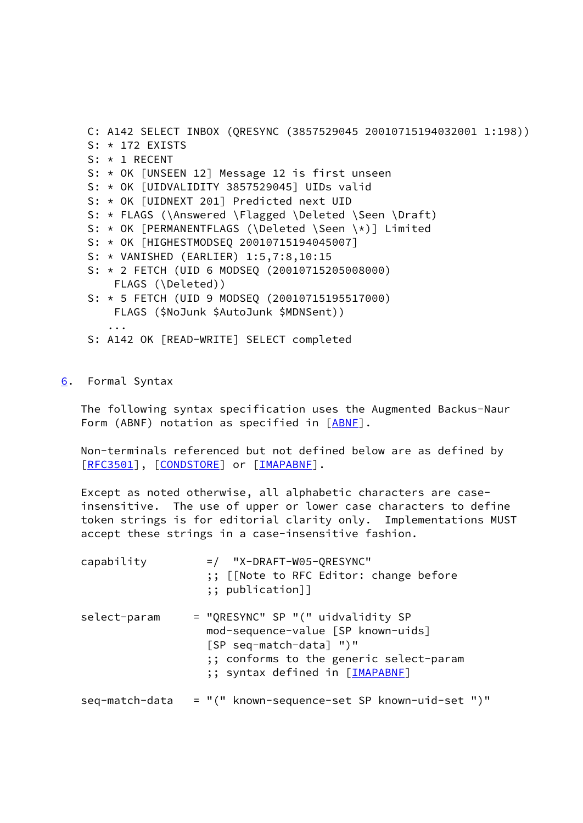C: A142 SELECT INBOX (QRESYNC (3857529045 20010715194032001 1:198))  $S: * 172$  EXISTS S: \* 1 RECENT S: \* OK [UNSEEN 12] Message 12 is first unseen S: \* OK [UIDVALIDITY 3857529045] UIDs valid S: \* OK [UIDNEXT 201] Predicted next UID S: \* FLAGS (\Answered \Flagged \Deleted \Seen \Draft) S: \* OK [PERMANENTFLAGS (\Deleted \Seen \\*)] Limited S: \* OK [HIGHESTMODSEQ 20010715194045007] S: \* VANISHED (EARLIER) 1:5,7:8,10:15 S: \* 2 FETCH (UID 6 MODSEQ (20010715205008000) FLAGS (\Deleted)) S: \* 5 FETCH (UID 9 MODSEQ (20010715195517000) FLAGS (\$NoJunk \$AutoJunk \$MDNSent)) ... S: A142 OK [READ-WRITE] SELECT completed

### <span id="page-25-0"></span>[6](#page-25-0). Formal Syntax

 The following syntax specification uses the Augmented Backus-Naur Form (ABNF) notation as specified in [\[ABNF](#page-27-6)].

 Non-terminals referenced but not defined below are as defined by [\[RFC3501](https://datatracker.ietf.org/doc/pdf/rfc3501)], [[CONDSTORE\]](#page-27-4) or [[IMAPABNF\]](#page-12-2).

 Except as noted otherwise, all alphabetic characters are case insensitive. The use of upper or lower case characters to define token strings is for editorial clarity only. Implementations MUST accept these strings in a case-insensitive fashion.

| capability     | $=$ / "X-DRAFT-W05-QRESYNC"<br>;; [[Note to RFC Editor: change before<br>$;\;$ publication]]                                                                                     |
|----------------|----------------------------------------------------------------------------------------------------------------------------------------------------------------------------------|
| select-param   | = "QRESYNC" SP "(" uidvalidity SP<br>mod-sequence-value [SP known-uids]<br>[SP seq-match-data] ")"<br>:; conforms to the generic select-param<br>;; syntax defined in [IMAPABNE] |
| seq-match-data | = "(" known-sequence-set SP known-uid-set ")"                                                                                                                                    |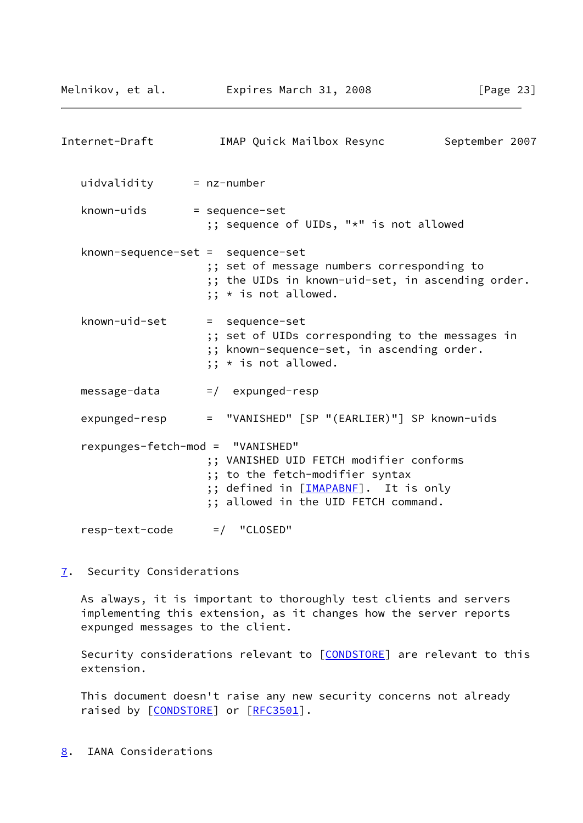<span id="page-26-1"></span>

| Internet-Draft                    | IMAP Quick Mailbox Resync                                                                                                                                  | September 2007 |
|-----------------------------------|------------------------------------------------------------------------------------------------------------------------------------------------------------|----------------|
| $uidvalidity = nz-number$         |                                                                                                                                                            |                |
| known-uids                        | = sequence-set<br>;; sequence of UIDs, "*" is not allowed                                                                                                  |                |
| known-sequence-set = sequence-set | ;; set of message numbers corresponding to<br>;; the UIDs in known-uid-set, in ascending order.<br>$;; *$ is not allowed.                                  |                |
| known-uid-set                     | = sequence-set<br>;; set of UIDs corresponding to the messages in<br>;; known-sequence-set, in ascending order.<br>$;; *$ is not allowed.                  |                |
| message-data                      | $=$ / expunged-resp                                                                                                                                        |                |
| expunged-resp                     | = "VANISHED" [SP "(EARLIER)"] SP known-uids                                                                                                                |                |
| rexpunges-fetch-mod = "VANISHED"  | ;; VANISHED UID FETCH modifier conforms<br>;; to the fetch-modifier syntax<br>;; defined in [IMAPABNE]. It is only<br>;; allowed in the UID FETCH command. |                |
| resp-text-code                    | $=$ / "CLOSED"                                                                                                                                             |                |

<span id="page-26-0"></span>[7](#page-26-0). Security Considerations

 As always, it is important to thoroughly test clients and servers implementing this extension, as it changes how the server reports expunged messages to the client.

Security considerations relevant to [\[CONDSTORE](#page-27-4)] are relevant to this extension.

 This document doesn't raise any new security concerns not already raised by [[CONDSTORE\]](#page-27-4) or [\[RFC3501](https://datatracker.ietf.org/doc/pdf/rfc3501)].

<span id="page-26-2"></span>[8](#page-26-2). IANA Considerations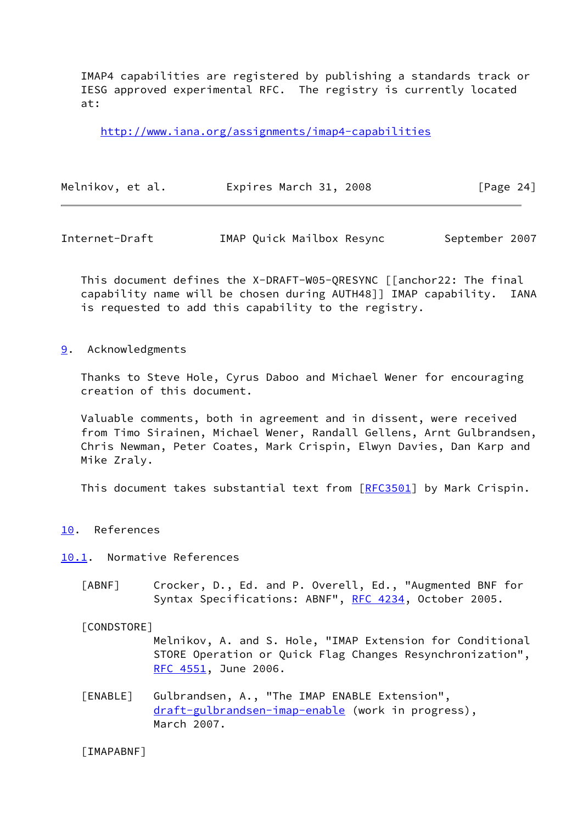IMAP4 capabilities are registered by publishing a standards track or IESG approved experimental RFC. The registry is currently located at:

<http://www.iana.org/assignments/imap4-capabilities>

| Melnikov, et al. | Expires March 31, 2008 | [Page 24] |  |
|------------------|------------------------|-----------|--|
|                  |                        |           |  |

<span id="page-27-1"></span>Internet-Draft IMAP Quick Mailbox Resync September 2007

 This document defines the X-DRAFT-W05-QRESYNC [[anchor22: The final capability name will be chosen during AUTH48]] IMAP capability. IANA is requested to add this capability to the registry.

<span id="page-27-0"></span>[9](#page-27-0). Acknowledgments

 Thanks to Steve Hole, Cyrus Daboo and Michael Wener for encouraging creation of this document.

 Valuable comments, both in agreement and in dissent, were received from Timo Sirainen, Michael Wener, Randall Gellens, Arnt Gulbrandsen, Chris Newman, Peter Coates, Mark Crispin, Elwyn Davies, Dan Karp and Mike Zraly.

This document takes substantial text from [[RFC3501](https://datatracker.ietf.org/doc/pdf/rfc3501)] by Mark Crispin.

<span id="page-27-2"></span>[10.](#page-27-2) References

<span id="page-27-3"></span>[10.1](#page-27-3). Normative References

<span id="page-27-6"></span> [ABNF] Crocker, D., Ed. and P. Overell, Ed., "Augmented BNF for Syntax Specifications: ABNF", [RFC 4234](https://datatracker.ietf.org/doc/pdf/rfc4234), October 2005.

<span id="page-27-4"></span>[CONDSTORE]

 Melnikov, A. and S. Hole, "IMAP Extension for Conditional STORE Operation or Quick Flag Changes Resynchronization", [RFC 4551,](https://datatracker.ietf.org/doc/pdf/rfc4551) June 2006.

<span id="page-27-5"></span> [ENABLE] Gulbrandsen, A., "The IMAP ENABLE Extension", [draft-gulbrandsen-imap-enable](https://datatracker.ietf.org/doc/pdf/draft-gulbrandsen-imap-enable) (work in progress), March 2007.

[IMAPABNF]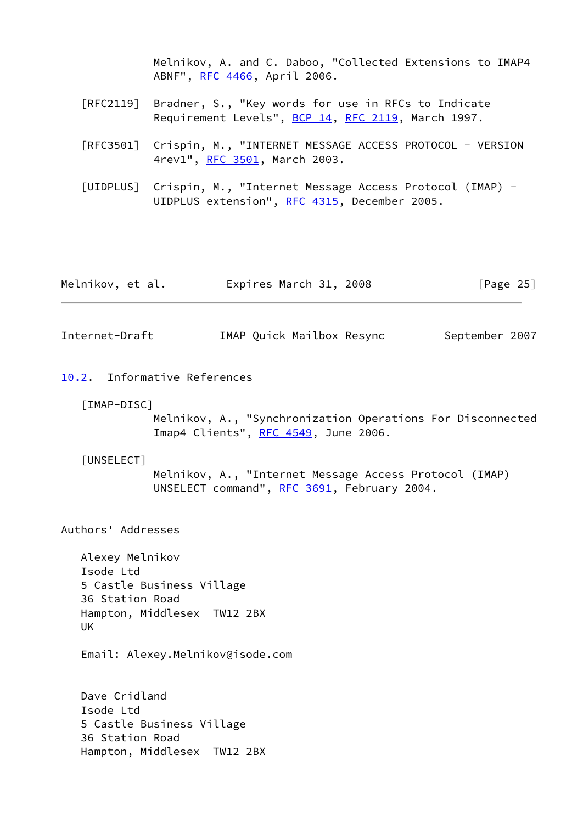Melnikov, A. and C. Daboo, "Collected Extensions to IMAP4 ABNF", [RFC 4466](https://datatracker.ietf.org/doc/pdf/rfc4466), April 2006.

- [RFC2119] Bradner, S., "Key words for use in RFCs to Indicate Requirement Levels", [BCP 14](https://datatracker.ietf.org/doc/pdf/bcp14), [RFC 2119](https://datatracker.ietf.org/doc/pdf/rfc2119), March 1997.
- [RFC3501] Crispin, M., "INTERNET MESSAGE ACCESS PROTOCOL VERSION 4rev1", [RFC 3501,](https://datatracker.ietf.org/doc/pdf/rfc3501) March 2003.
- <span id="page-28-2"></span> [UIDPLUS] Crispin, M., "Internet Message Access Protocol (IMAP) - UIDPLUS extension", [RFC 4315,](https://datatracker.ietf.org/doc/pdf/rfc4315) December 2005.

| Melnikov, et al. | Expires March 31, 2008 | [Page 25] |
|------------------|------------------------|-----------|
|------------------|------------------------|-----------|

<span id="page-28-1"></span>Internet-Draft IMAP Quick Mailbox Resync September 2007

- <span id="page-28-4"></span><span id="page-28-0"></span>[10.2](#page-28-0). Informative References
	- [IMAP-DISC]

 Melnikov, A., "Synchronization Operations For Disconnected Imap4 Clients", [RFC 4549,](https://datatracker.ietf.org/doc/pdf/rfc4549) June 2006.

#### <span id="page-28-3"></span>[UNSELECT]

 Melnikov, A., "Internet Message Access Protocol (IMAP) UNSELECT command", [RFC 3691](https://datatracker.ietf.org/doc/pdf/rfc3691), February 2004.

Authors' Addresses

 Alexey Melnikov Isode Ltd 5 Castle Business Village 36 Station Road Hampton, Middlesex TW12 2BX UK

Email: Alexey.Melnikov@isode.com

 Dave Cridland Isode Ltd 5 Castle Business Village 36 Station Road Hampton, Middlesex TW12 2BX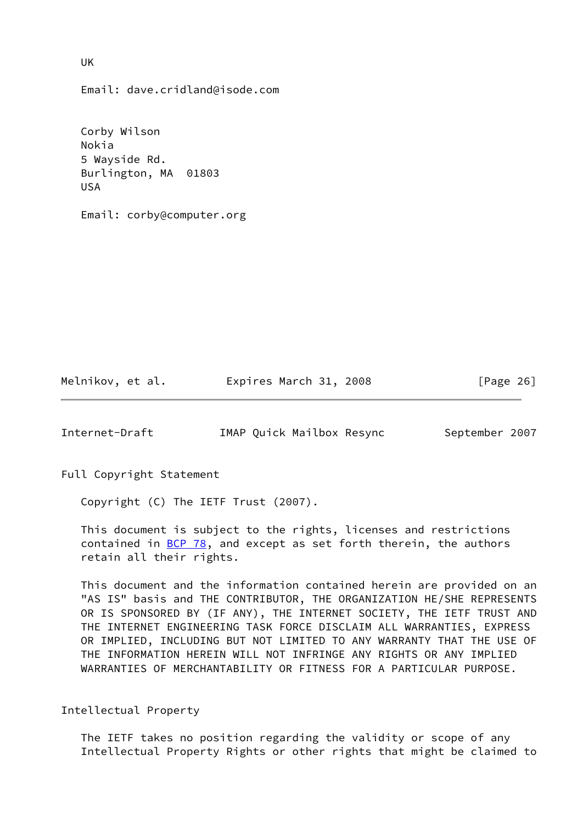Email: dave.cridland@isode.com

 Corby Wilson Nokia 5 Wayside Rd. Burlington, MA 01803 USA

Email: corby@computer.org

Melnikov, et al. Expires March 31, 2008 [Page 26]

<span id="page-29-0"></span>Internet-Draft IMAP Quick Mailbox Resync September 2007

Full Copyright Statement

Copyright (C) The IETF Trust (2007).

 This document is subject to the rights, licenses and restrictions contained in  $BCP$  78, and except as set forth therein, the authors retain all their rights.

 This document and the information contained herein are provided on an "AS IS" basis and THE CONTRIBUTOR, THE ORGANIZATION HE/SHE REPRESENTS OR IS SPONSORED BY (IF ANY), THE INTERNET SOCIETY, THE IETF TRUST AND THE INTERNET ENGINEERING TASK FORCE DISCLAIM ALL WARRANTIES, EXPRESS OR IMPLIED, INCLUDING BUT NOT LIMITED TO ANY WARRANTY THAT THE USE OF THE INFORMATION HEREIN WILL NOT INFRINGE ANY RIGHTS OR ANY IMPLIED WARRANTIES OF MERCHANTABILITY OR FITNESS FOR A PARTICULAR PURPOSE.

Intellectual Property

 The IETF takes no position regarding the validity or scope of any Intellectual Property Rights or other rights that might be claimed to

UK